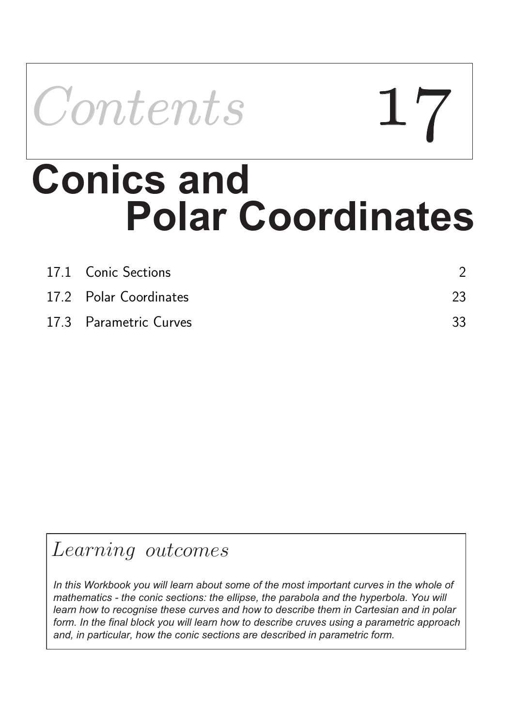

# **Polar Coordinates Conics and**

| 17.1 Conic Sections    |    |
|------------------------|----|
| 17.2 Polar Coordinates | 23 |
| 17.3 Parametric Curves | 33 |

## Learning outcomes

*In this Workbook you will learn about some of the most important curves in the whole of mathematics - the conic sections: the ellipse, the parabola and the hyperbola. You will learn how to recognise these curves and how to describe them in Cartesian and in polar form. In the final block you will learn how to describe cruves using a parametric approach and, in particular, how the conic sections are described in parametric form.*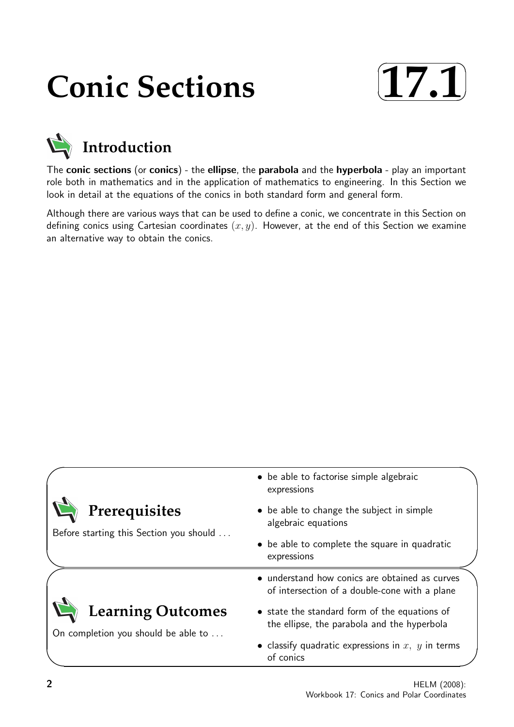## **Conic Sections**





The conic sections (or conics) - the ellipse, the parabola and the hyperbola - play an important role both in mathematics and in the application of mathematics to engineering. In this Section we look in detail at the equations of the conics in both standard form and general form.

Although there are various ways that can be used to define a conic, we concentrate in this Section on defining conics using Cartesian coordinates  $(x, y)$ . However, at the end of this Section we examine an alternative way to obtain the conics.

|                                                                 | • be able to factorise simple algebraic<br>expressions                                          |
|-----------------------------------------------------------------|-------------------------------------------------------------------------------------------------|
| Prerequisites<br>Before starting this Section you should        | • be able to change the subject in simple<br>algebraic equations                                |
|                                                                 | • be able to complete the square in quadratic<br>expressions                                    |
|                                                                 | • understand how conics are obtained as curves<br>of intersection of a double-cone with a plane |
| <b>Learning Outcomes</b><br>On completion you should be able to | • state the standard form of the equations of<br>the ellipse, the parabola and the hyperbola    |
|                                                                 | • classify quadratic expressions in $x, y$ in terms<br>of conics                                |
|                                                                 |                                                                                                 |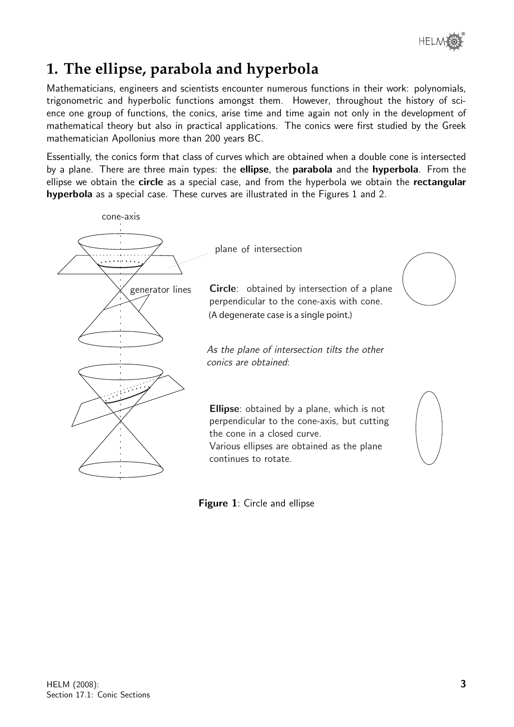

### **1. The ellipse, parabola and hyperbola**

Mathematicians, engineers and scientists encounter numerous functions in their work: polynomials, trigonometric and hyperbolic functions amongst them. However, throughout the history of science one group of functions, the conics, arise time and time again not only in the development of mathematical theory but also in practical applications. The conics were first studied by the Greek mathematician Apollonius more than 200 years BC.

Essentially, the conics form that class of curves which are obtained when a double cone is intersected by a plane. There are three main types: the **ellipse**, the **parabola** and the **hyperbola**. From the ellipse we obtain the circle as a special case, and from the hyperbola we obtain the rectangular hyperbola as a special case. These curves are illustrated in the Figures 1 and 2.



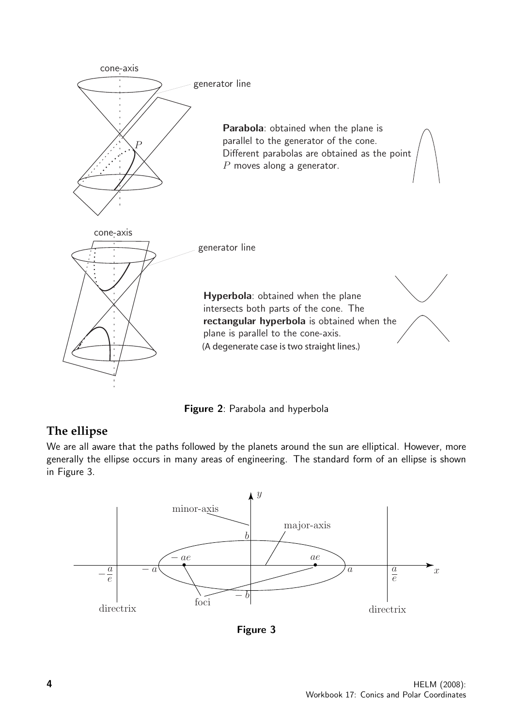

Figure 2: Parabola and hyperbola

#### **The ellipse**

We are all aware that the paths followed by the planets around the sun are elliptical. However, more generally the ellipse occurs in many areas of engineering. The standard form of an ellipse is shown in Figure 3.



Figure 3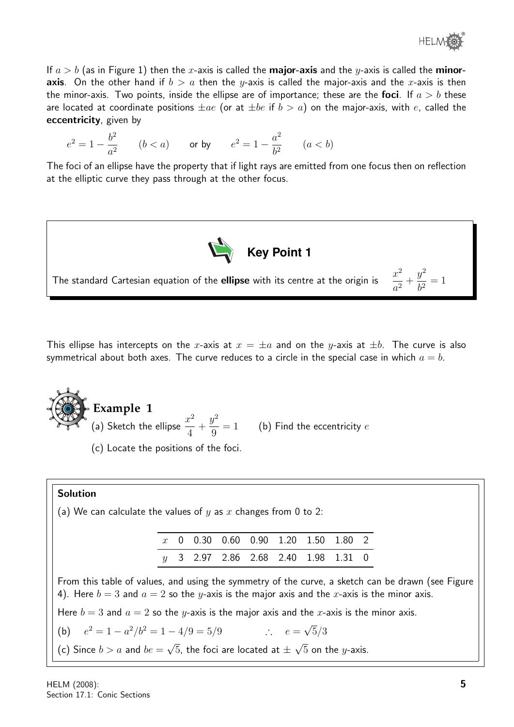

If  $a > b$  (as in Figure 1) then the x-axis is called the **major-axis** and the y-axis is called the **minoraxis**. On the other hand if  $b > a$  then the y-axis is called the major-axis and the x-axis is then the minor-axis. Two points, inside the ellipse are of importance; these are the foci. If  $a > b$  these are located at coordinate positions  $\pm ae$  (or at  $\pm be$  if  $b > a$ ) on the major-axis, with e, called the eccentricity, given by

$$
e^2 = 1 - \frac{b^2}{a^2}
$$
  $(b < a)$  or by  $e^2 = 1 - \frac{a^2}{b^2}$   $(a < b)$ 

The foci of an ellipse have the property that if light rays are emitted from one focus then on reflection at the elliptic curve they pass through at the other focus.



This ellipse has intercepts on the x-axis at  $x = \pm a$  and on the y-axis at  $\pm b$ . The curve is also symmetrical about both axes. The curve reduces to a circle in the special case in which  $a = b$ .

**Example 1** (a) Sketch the ellipse  $\frac{x^2}{4}$ 4  $+$  $y^2$ 9  $= 1$  (b) Find the eccentricity  $e$ 

(c) Locate the positions of the foci.

#### Solution

 $(b)$ 

(a) We can calculate the values of  $y$  as  $x$  changes from 0 to 2:

|  |  | $x$ 0 0.30 0.60 0.90 1.20 1.50 1.80 2 |  |  |
|--|--|---------------------------------------|--|--|
|  |  | $y$ 3 2.97 2.86 2.68 2.40 1.98 1.31 0 |  |  |

From this table of values, and using the symmetry of the curve, a sketch can be drawn (see Figure 4). Here  $b = 3$  and  $a = 2$  so the y-axis is the major axis and the x-axis is the minor axis.

Here  $b = 3$  and  $a = 2$  so the y-axis is the major axis and the x-axis is the minor axis.

$$
e2 = 1 - a2/b2 = 1 - 4/9 = 5/9
$$
 ∴  $e = \sqrt{5}/3$ 

(c) Since  $b > a$  and  $be =$ √  $5$ , the foci are located at  $\pm$ √  $5$  on the  $y$ -axis.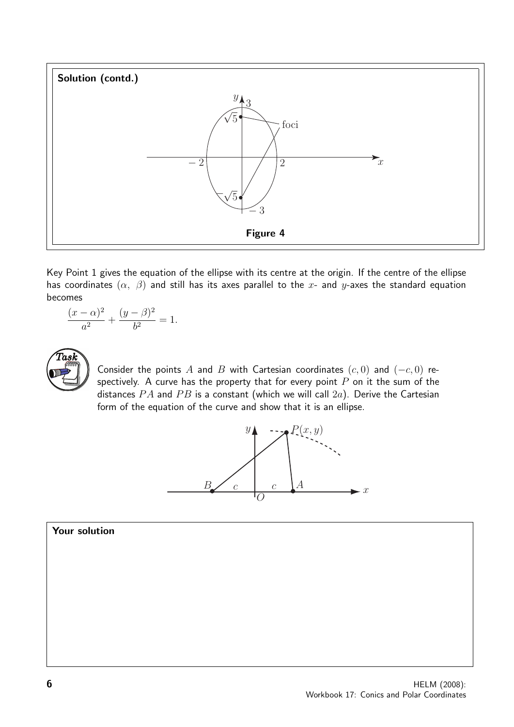

Key Point 1 gives the equation of the ellipse with its centre at the origin. If the centre of the ellipse has coordinates  $(\alpha, \beta)$  and still has its axes parallel to the x- and y-axes the standard equation becomes

$$
\frac{(x-\alpha)^2}{a^2} + \frac{(y-\beta)^2}{b^2} = 1.
$$



Consider the points A and B with Cartesian coordinates  $(c, 0)$  and  $(-c, 0)$  respectively. A curve has the property that for every point  $P$  on it the sum of the distances  $PA$  and  $PB$  is a constant (which we will call  $2a$ ). Derive the Cartesian form of the equation of the curve and show that it is an ellipse.



Your solution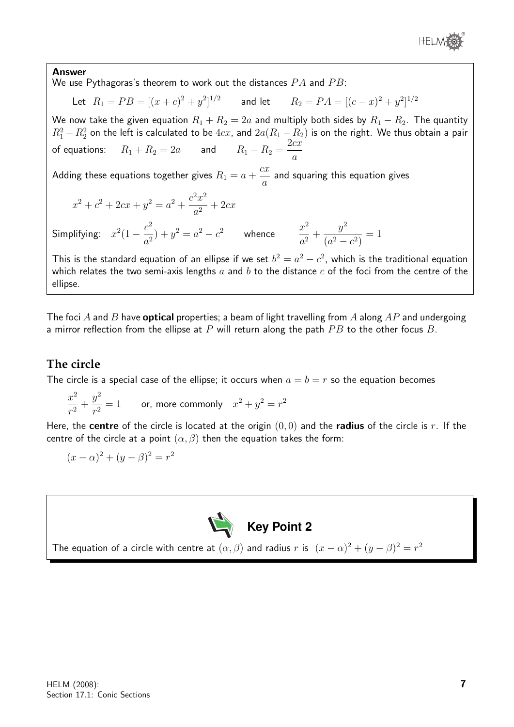

#### Answer

We use Pythagoras's theorem to work out the distances  $PA$  and  $PB$ :

Let 
$$
R_1 = PB = [(x + c)^2 + y^2]^{1/2}
$$
 and let  $R_2 = PA = [(c - x)^2 + y^2]^{1/2}$ 

We now take the given equation  $R_1 + R_2 = 2a$  and multiply both sides by  $R_1 - R_2.$  The quantity  $R_1^2-R_2^2$  on the left is calculated to be  $4cx$ , and  $2a(R_1-R_2)$  is on the right. We thus obtain a pair of equations:  $R_1 + R_2 = 2a$  and  $R_1 - R_2 = \frac{2cx}{a}$ a

Adding these equations together gives  $R_1 = a \ +$  $cx$ a and squaring this equation gives

$$
x^{2} + c^{2} + 2cx + y^{2} = a^{2} + \frac{c^{2}x^{2}}{a^{2}} + 2cx
$$

Simplifying:  $x^2(1-\frac{c^2}{2})$  $\frac{c^2}{a^2}$ ) +  $y^2 = a^2 - c^2$  whence  $\frac{x^2}{a^2}$  $\frac{a}{a^2}$  +  $y^2$  $(a^2 - c^2)$  $= 1$ 

This is the standard equation of an ellipse if we set  $b^2 = a^2 - c^2$ , which is the traditional equation which relates the two semi-axis lengths  $a$  and  $b$  to the distance  $c$  of the foci from the centre of the ellipse.

The foci A and B have **optical** properties; a beam of light travelling from A along  $AP$  and undergoing a mirror reflection from the ellipse at  $P$  will return along the path  $PB$  to the other focus  $B$ .

#### **The circle**

The circle is a special case of the ellipse; it occurs when  $a = b = r$  so the equation becomes

$$
\frac{x^2}{r^2} + \frac{y^2}{r^2} = 1
$$
 or, more commonly  $x^2 + y^2 = r^2$ 

Here, the **centre** of the circle is located at the origin  $(0, 0)$  and the **radius** of the circle is r. If the centre of the circle at a point  $(\alpha, \beta)$  then the equation takes the form:

$$
(x - \alpha)^2 + (y - \beta)^2 = r^2
$$



The equation of a circle with centre at  $(\alpha, \beta)$  and radius r is  $(x - \alpha)^2 + (y - \beta)^2 = r^2$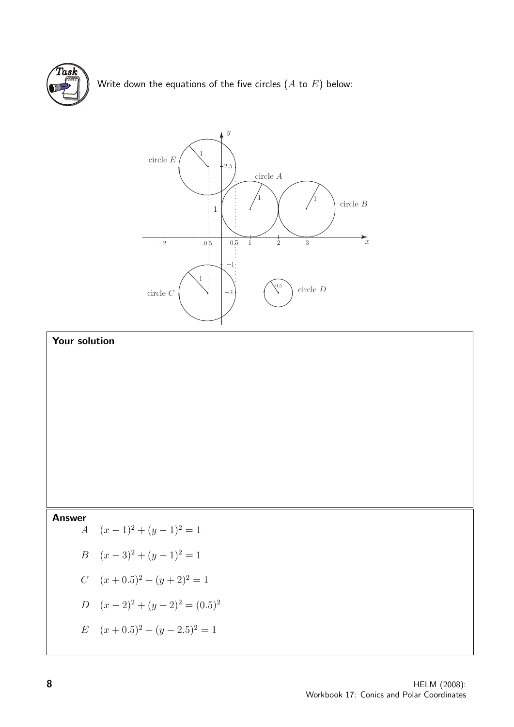

Write down the equations of the five circles  $(A \text{ to } E)$  below:



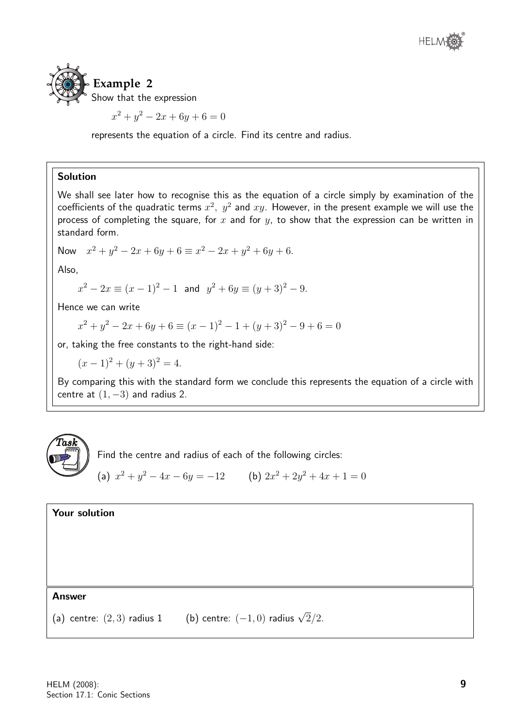



$$
x^2 + y^2 - 2x + 6y + 6 = 0
$$

represents the equation of a circle. Find its centre and radius.

#### Solution

We shall see later how to recognise this as the equation of a circle simply by examination of the coefficients of the quadratic terms  $x^2, y^2$  and  $xy$ . However, in the present example we will use the process of completing the square, for  $x$  and for  $y$ , to show that the expression can be written in standard form.

Now 
$$
x^2 + y^2 - 2x + 6y + 6 \equiv x^2 - 2x + y^2 + 6y + 6
$$
.

Also,

$$
x^2 - 2x \equiv (x - 1)^2 - 1
$$
 and  $y^2 + 6y \equiv (y + 3)^2 - 9$ .

Hence we can write

 $x^{2} + y^{2} - 2x + 6y + 6 \equiv (x - 1)^{2} - 1 + (y + 3)^{2} - 9 + 6 = 0$ 

or, taking the free constants to the right-hand side:

 $(x-1)^2 + (y+3)^2 = 4.$ 

By comparing this with the standard form we conclude this represents the equation of a circle with centre at  $(1, -3)$  and radius 2.



Find the centre and radius of each of the following circles:

(a)  $x^2 + y^2 - 4x - 6y = -12$  (b)  $2x^2 + 2y^2 + 4x + 1 = 0$ 

Your solution

#### Answer

(a) centre:  $(2,3)$  radius 1 (b) centre:  $(-1,0)$  radius  $\sqrt{2}/2$ .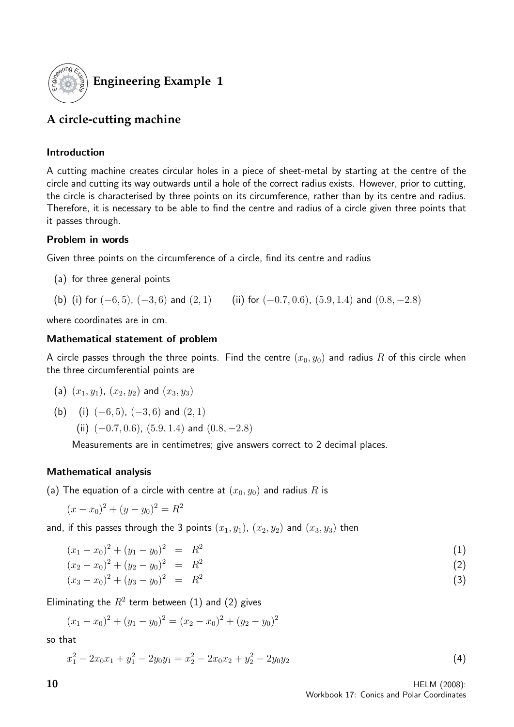

#### **Engineering Example 1**

#### **A circle-cutting machine**

#### Introduction

A cutting machine creates circular holes in a piece of sheet-metal by starting at the centre of the circle and cutting its way outwards until a hole of the correct radius exists. However, prior to cutting, the circle is characterised by three points on its circumference, rather than by its centre and radius. Therefore, it is necessary to be able to find the centre and radius of a circle given three points that it passes through.

#### Problem in words

Given three points on the circumference of a circle, find its centre and radius

- (a) for three general points
- (b) (i) for  $(-6, 5)$ ,  $(-3, 6)$  and  $(2, 1)$  (ii) for  $(-0.7, 0.6)$ ,  $(5.9, 1.4)$  and  $(0.8, -2.8)$

where coordinates are in cm.

#### Mathematical statement of problem

A circle passes through the three points. Find the centre  $(x_0, y_0)$  and radius R of this circle when the three circumferential points are

- (a)  $(x_1, y_1)$ ,  $(x_2, y_2)$  and  $(x_3, y_3)$
- (b) (i)  $(-6, 5)$ ,  $(-3, 6)$  and  $(2, 1)$

(ii)  $(-0.7, 0.6)$ ,  $(5.9, 1.4)$  and  $(0.8, -2.8)$ 

Measurements are in centimetres; give answers correct to 2 decimal places.

#### Mathematical analysis

(a) The equation of a circle with centre at  $(x_0, y_0)$  and radius R is

$$
(x - x_0)^2 + (y - y_0)^2 = R^2
$$

and, if this passes through the 3 points  $(x_1, y_1)$ ,  $(x_2, y_2)$  and  $(x_3, y_3)$  then

$$
(x_1 - x_0)^2 + (y_1 - y_0)^2 = R^2 \tag{1}
$$

$$
(x_2 - x_0)^2 + (y_2 - y_0)^2 = R^2 \tag{2}
$$

$$
(x_3 - x_0)^2 + (y_3 - y_0)^2 = R^2 \tag{3}
$$

Eliminating the  $R^2$  term between (1) and (2) gives

$$
(x_1 - x_0)^2 + (y_1 - y_0)^2 = (x_2 - x_0)^2 + (y_2 - y_0)^2
$$

so that

$$
x_1^2 - 2x_0x_1 + y_1^2 - 2y_0y_1 = x_2^2 - 2x_0x_2 + y_2^2 - 2y_0y_2 \tag{4}
$$

 $10$  HELM (2008): Workbook 17: Conics and Polar Coordinates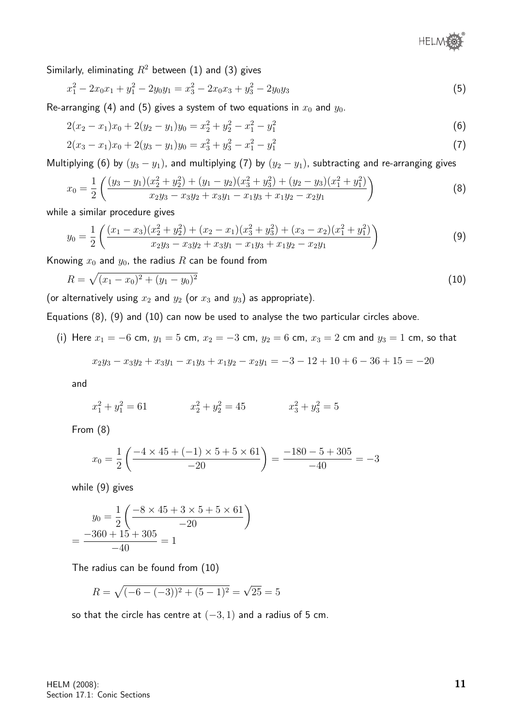

Similarly, eliminating  $R^2$  between (1) and (3) gives

$$
x_1^2 - 2x_0x_1 + y_1^2 - 2y_0y_1 = x_3^2 - 2x_0x_3 + y_3^2 - 2y_0y_3 \tag{5}
$$

Re-arranging (4) and (5) gives a system of two equations in  $x_0$  and  $y_0$ .

$$
2(x_2 - x_1)x_0 + 2(y_2 - y_1)y_0 = x_2^2 + y_2^2 - x_1^2 - y_1^2
$$
\n(6)

$$
2(x_3 - x_1)x_0 + 2(y_3 - y_1)y_0 = x_3^2 + y_3^2 - x_1^2 - y_1^2
$$
\n(7)

Multiplying (6) by  $(y_3 - y_1)$ , and multiplying (7) by  $(y_2 - y_1)$ , subtracting and re-arranging gives

$$
x_0 = \frac{1}{2} \left( \frac{(y_3 - y_1)(x_2^2 + y_2^2) + (y_1 - y_2)(x_3^2 + y_3^2) + (y_2 - y_3)(x_1^2 + y_1^2)}{x_2 y_3 - x_3 y_2 + x_3 y_1 - x_1 y_3 + x_1 y_2 - x_2 y_1} \right)
$$
(8)

while a similar procedure gives

$$
y_0 = \frac{1}{2} \left( \frac{(x_1 - x_3)(x_2^2 + y_2^2) + (x_2 - x_1)(x_3^2 + y_3^2) + (x_3 - x_2)(x_1^2 + y_1^2)}{x_2 y_3 - x_3 y_2 + x_3 y_1 - x_1 y_3 + x_1 y_2 - x_2 y_1} \right)
$$
(9)

Knowing  $x_0$  and  $y_0$ , the radius R can be found from

$$
R = \sqrt{(x_1 - x_0)^2 + (y_1 - y_0)^2} \tag{10}
$$

(or alternatively using  $x_2$  and  $y_2$  (or  $x_3$  and  $y_3$ ) as appropriate).

Equations (8), (9) and (10) can now be used to analyse the two particular circles above.

(i) Here  $x_1 = -6$  cm,  $y_1 = 5$  cm,  $x_2 = -3$  cm,  $y_2 = 6$  cm,  $x_3 = 2$  cm and  $y_3 = 1$  cm, so that

$$
x_2y_3 - x_3y_2 + x_3y_1 - x_1y_3 + x_1y_2 - x_2y_1 = -3 - 12 + 10 + 6 - 36 + 15 = -20
$$

and

$$
x_1^2 + y_1^2 = 61 \qquad \qquad x_2^2 + y_2^2 = 45 \qquad \qquad x_3^2 + y_3^2 = 5
$$

From (8)

$$
x_0 = \frac{1}{2} \left( \frac{-4 \times 45 + (-1) \times 5 + 5 \times 61}{-20} \right) = \frac{-180 - 5 + 305}{-40} = -3
$$

while (9) gives

$$
y_0 = \frac{1}{2} \left( \frac{-8 \times 45 + 3 \times 5 + 5 \times 61}{-20} \right)
$$
  
= 
$$
\frac{-360 + 15 + 305}{-40} = 1
$$

The radius can be found from (10)

$$
R = \sqrt{(-6 - (-3))^2 + (5 - 1)^2} = \sqrt{25} = 5
$$

so that the circle has centre at  $(-3, 1)$  and a radius of 5 cm.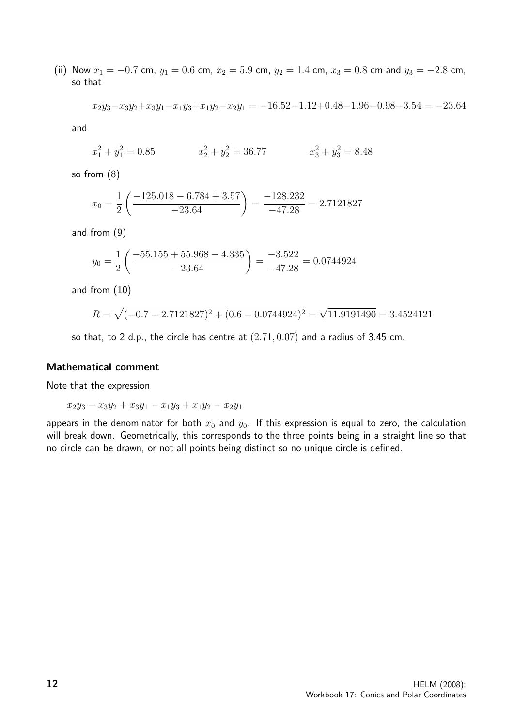(ii) Now  $x_1 = -0.7$  cm,  $y_1 = 0.6$  cm,  $x_2 = 5.9$  cm,  $y_2 = 1.4$  cm,  $x_3 = 0.8$  cm and  $y_3 = -2.8$  cm, so that

$$
x_2y_3 - x_3y_2 + x_3y_1 - x_1y_3 + x_1y_2 - x_2y_1 = -16.52 - 1.12 + 0.48 - 1.96 - 0.98 - 3.54 = -23.64
$$

and

$$
x_1^2 + y_1^2 = 0.85 \qquad \qquad x_2^2 + y_2^2 = 36.77 \qquad \qquad x_3^2 + y_3^2 = 8.48
$$

so from (8)

$$
x_0 = \frac{1}{2} \left( \frac{-125.018 - 6.784 + 3.57}{-23.64} \right) = \frac{-128.232}{-47.28} = 2.7121827
$$

and from (9)

$$
y_0 = \frac{1}{2} \left( \frac{-55.155 + 55.968 - 4.335}{-23.64} \right) = \frac{-3.522}{-47.28} = 0.0744924
$$

and from (10)

$$
R = \sqrt{(-0.7 - 2.7121827)^2 + (0.6 - 0.0744924)^2} = \sqrt{11.9191490} = 3.4524121
$$

so that, to 2 d.p., the circle has centre at  $(2.71, 0.07)$  and a radius of 3.45 cm.

#### Mathematical comment

Note that the expression

$$
x_2y_3 - x_3y_2 + x_3y_1 - x_1y_3 + x_1y_2 - x_2y_1
$$

appears in the denominator for both  $x_0$  and  $y_0$ . If this expression is equal to zero, the calculation will break down. Geometrically, this corresponds to the three points being in a straight line so that no circle can be drawn, or not all points being distinct so no unique circle is defined.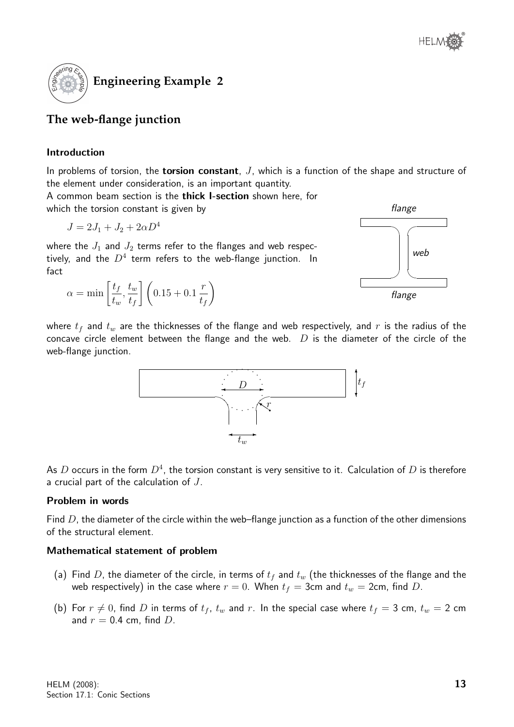

#### **The web-flange junction**

#### Introduction

In problems of torsion, the **torsion constant**,  $J$ , which is a function of the shape and structure of the element under consideration, is an important quantity.

A common beam section is the thick I-section shown here, for which the torsion constant is given by

$$
J = 2J_1 + J_2 + 2\alpha D^4
$$

where the  $J_1$  and  $J_2$  terms refer to the flanges and web respectively, and the  $D^4$  term refers to the web-flange junction. In fact

$$
\alpha = \min\left[\frac{t_f}{t_w}, \frac{t_w}{t_f}\right] \left(0.15 + 0.1 \, \frac{r}{t_f}\right)
$$



where  $t_f$  and  $t_w$  are the thicknesses of the flange and web respectively, and r is the radius of the concave circle element between the flange and the web.  $D$  is the diameter of the circle of the web-flange junction.



As  $D$  occurs in the form  $D^4$ , the torsion constant is very sensitive to it. Calculation of  $D$  is therefore a crucial part of the calculation of J.

#### Problem in words

Find  $D$ , the diameter of the circle within the web–flange junction as a function of the other dimensions of the structural element.

#### Mathematical statement of problem

- (a) Find D, the diameter of the circle, in terms of  $t_f$  and  $t_w$  (the thicknesses of the flange and the web respectively) in the case where  $r = 0$ . When  $t_f = 3$ cm and  $t_w = 2$ cm, find D.
- (b) For  $r \neq 0$ , find D in terms of  $t_f$ ,  $t_w$  and r. In the special case where  $t_f = 3$  cm,  $t_w = 2$  cm and  $r = 0.4$  cm, find D.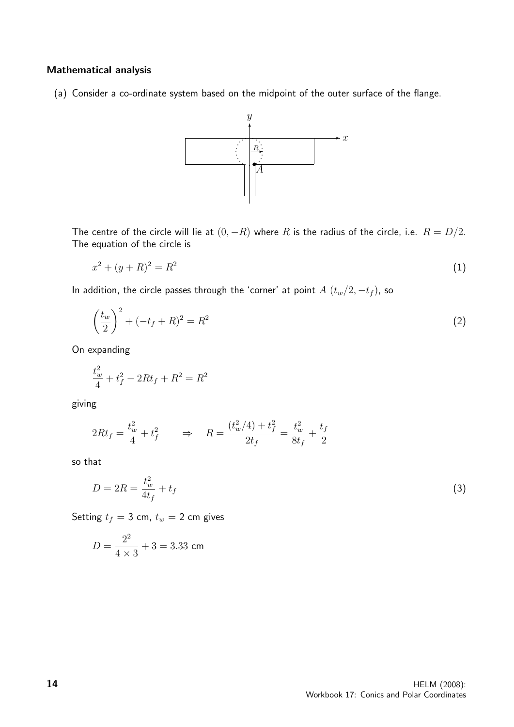#### Mathematical analysis

(a) Consider a co-ordinate system based on the midpoint of the outer surface of the flange.



The centre of the circle will lie at  $(0, -R)$  where R is the radius of the circle, i.e.  $R = D/2$ . The equation of the circle is

$$
x^2 + (y + R)^2 = R^2 \tag{1}
$$

In addition, the circle passes through the 'corner' at point  $A(t_w/2, -t_f)$ , so

$$
\left(\frac{t_w}{2}\right)^2 + (-t_f + R)^2 = R^2
$$
\n(2)

On expanding

$$
\frac{t_w^2}{4} + t_f^2 - 2Rt_f + R^2 = R^2
$$

giving

$$
2Rt_f = \frac{t_w^2}{4} + t_f^2 \qquad \Rightarrow \quad R = \frac{(t_w^2/4) + t_f^2}{2t_f} = \frac{t_w^2}{8t_f} + \frac{t_f}{2}
$$

so that

$$
D = 2R = \frac{t_w^2}{4t_f} + t_f \tag{3}
$$

Setting  $t_f = 3$  cm,  $t_w = 2$  cm gives

$$
D = \frac{2^2}{4 \times 3} + 3 = 3.33
$$
 cm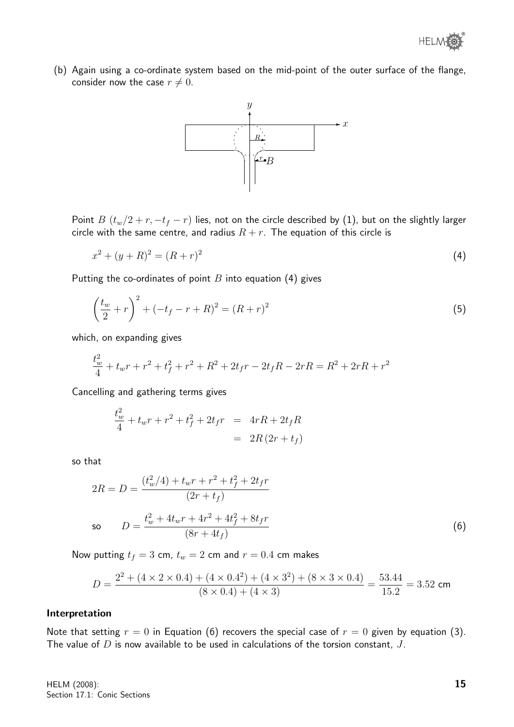(b) Again using a co-ordinate system based on the mid-point of the outer surface of the flange, consider now the case  $r \neq 0$ .



Point  $B(t_w/2 + r, -t_f - r)$  lies, not on the circle described by (1), but on the slightly larger circle with the same centre, and radius  $R + r$ . The equation of this circle is

$$
x^2 + (y + R)^2 = (R + r)^2 \tag{4}
$$

Putting the co-ordinates of point  $B$  into equation (4) gives

$$
\left(\frac{t_w}{2} + r\right)^2 + \left(-t_f - r + R\right)^2 = \left(R + r\right)^2\tag{5}
$$

which, on expanding gives

$$
\frac{t_w^2}{4} + t_w r + r^2 + t_f^2 + r^2 + R^2 + 2t_f r - 2t_f R - 2rR = R^2 + 2rR + r^2
$$

Cancelling and gathering terms gives

$$
\frac{t_w^2}{4} + t_w r + r^2 + t_f^2 + 2t_f r = 4rR + 2t_f R
$$

$$
= 2R(2r + t_f)
$$

so that

$$
2R = D = \frac{(t_w^2/4) + t_w r + r^2 + t_f^2 + 2t_f r}{(2r + t_f)}
$$
  
so 
$$
D = \frac{t_w^2 + 4t_w r + 4r^2 + 4t_f^2 + 8t_f r}{(8r + 4t_f)}
$$
(6)

Now putting  $t_f = 3$  cm,  $t_w = 2$  cm and  $r = 0.4$  cm makes

$$
D = \frac{2^2 + (4 \times 2 \times 0.4) + (4 \times 0.4^2) + (4 \times 3^2) + (8 \times 3 \times 0.4)}{(8 \times 0.4) + (4 \times 3)} = \frac{53.44}{15.2} = 3.52
$$
 cm

#### Interpretation

Note that setting  $r = 0$  in Equation (6) recovers the special case of  $r = 0$  given by equation (3). The value of  $D$  is now available to be used in calculations of the torsion constant,  $J$ .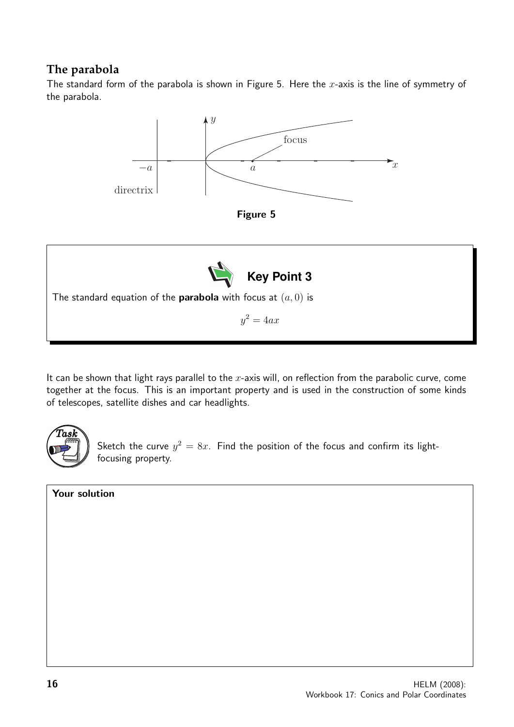#### **The parabola**

The standard form of the parabola is shown in Figure 5. Here the  $x$ -axis is the line of symmetry of the parabola.



It can be shown that light rays parallel to the  $x$ -axis will, on reflection from the parabolic curve, come together at the focus. This is an important property and is used in the construction of some kinds of telescopes, satellite dishes and car headlights.



Sketch the curve  $y^2 = 8x$ . Find the position of the focus and confirm its lightfocusing property.

#### Your solution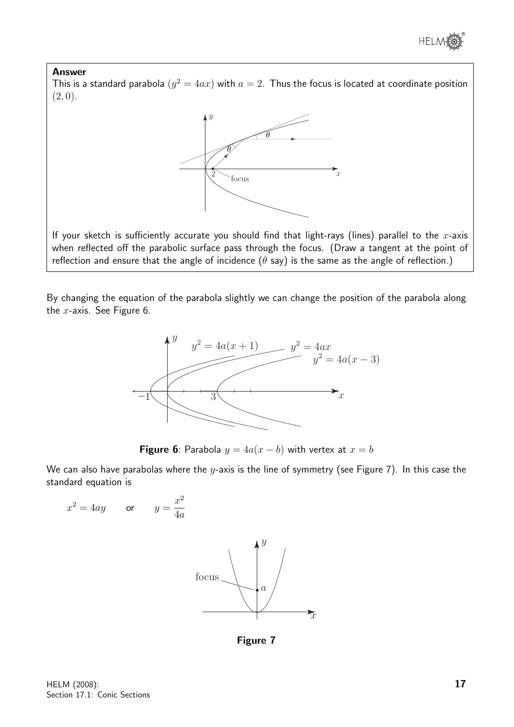

#### Answer

This is a standard parabola  $(y^2 = 4ax)$  with  $a = 2$ . Thus the focus is located at coordinate position  $(2, 0).$ 



If your sketch is sufficiently accurate you should find that light-rays (lines) parallel to the  $x$ -axis when reflected off the parabolic surface pass through the focus. (Draw a tangent at the point of reflection and ensure that the angle of incidence ( $\theta$  say) is the same as the angle of reflection.)

By changing the equation of the parabola slightly we can change the position of the parabola along the  $x$ -axis. See Figure 6.



**Figure 6**: Parabola  $y = 4a(x - b)$  with vertex at  $x = b$ 

We can also have parabolas where the y-axis is the line of symmetry (see Figure 7). In this case the standard equation is

 $x^2 = 4ay$  or  $y = \frac{x^2}{4}$ 4a



Figure 7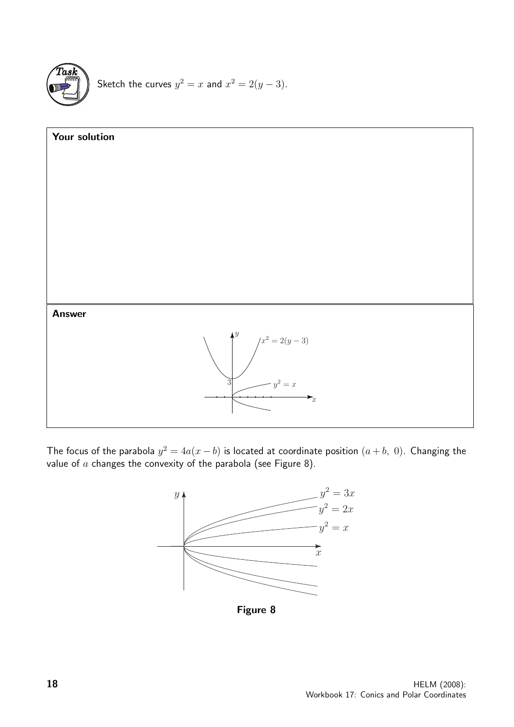

Sketch the curves  $y^2 = x$  and  $x^2 = 2(y-3)$ .



The focus of the parabola  $y^2 = 4a(x - b)$  is located at coordinate position  $(a + b, 0)$ . Changing the value of  $a$  changes the convexity of the parabola (see Figure 8).



Figure 8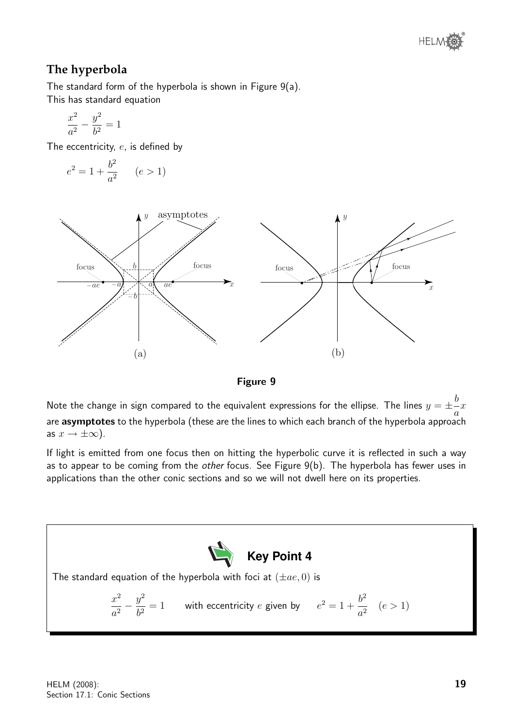

#### **The hyperbola**

The standard form of the hyperbola is shown in Figure 9(a). This has standard equation

$$
\frac{x^2}{a^2} - \frac{y^2}{b^2} = 1
$$

The eccentricity, e, is defined by

$$
e^2 = 1 + \frac{b^2}{a^2} \qquad (e > 1)
$$





Note the change in sign compared to the equivalent expressions for the ellipse. The lines  $y=\pm\frac{b}{2}$ a  $\boldsymbol{x}$ are asymptotes to the hyperbola (these are the lines to which each branch of the hyperbola approach as  $x \to \pm \infty$ ).

If light is emitted from one focus then on hitting the hyperbolic curve it is reflected in such a way as to appear to be coming from the other focus. See Figure 9(b). The hyperbola has fewer uses in applications than the other conic sections and so we will not dwell here on its properties.

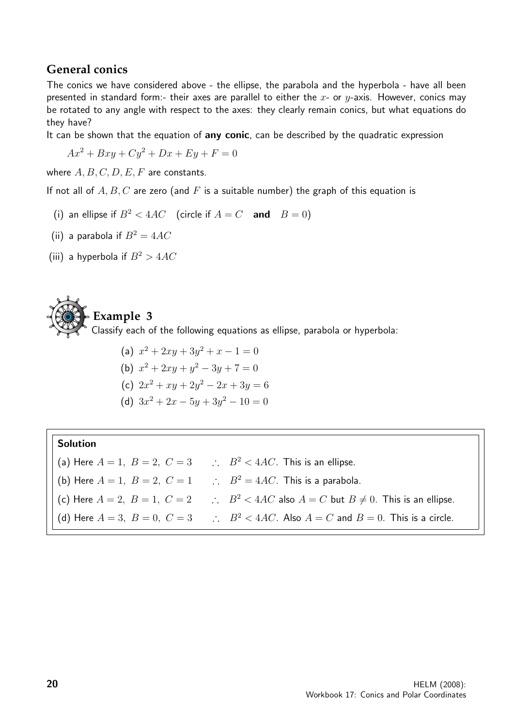#### **General conics**

The conics we have considered above - the ellipse, the parabola and the hyperbola - have all been presented in standard form:- their axes are parallel to either the  $x$ - or  $y$ -axis. However, conics may be rotated to any angle with respect to the axes: they clearly remain conics, but what equations do they have?

It can be shown that the equation of any conic, can be described by the quadratic expression

$$
Ax^2 + Bxy + Cy^2 + Dx + Ey + F = 0
$$

where  $A, B, C, D, E, F$  are constants.

If not all of  $A, B, C$  are zero (and F is a suitable number) the graph of this equation is

- (i) an ellipse if  $B^2 < 4AC$  (circle if  $A = C$  and  $B = 0$ )
- (ii) a parabola if  $B^2 = 4AC$
- (iii) a hyperbola if  $B^2 > 4AC$

## **Example 3**

Classify each of the following equations as ellipse, parabola or hyperbola:

(a) 
$$
x^2 + 2xy + 3y^2 + x - 1 = 0
$$
  
\n(b)  $x^2 + 2xy + y^2 - 3y + 7 = 0$   
\n(c)  $2x^2 + xy + 2y^2 - 2x + 3y = 6$ 

(d)  $3x^2 + 2x - 5y + 3y^2 - 10 = 0$ 

#### Solution

(a) Here  $A = 1$ ,  $B = 2$ ,  $C = 3$   $\therefore$   $B^2 < 4AC$ . This is an ellipse. (b) Here  $A = 1$ ,  $B = 2$ ,  $C = 1$   $\therefore$   $B^2 = 4AC$ . This is a parabola. (c) Here  $A = 2$ ,  $B = 1$ ,  $C = 2$   $\therefore$   $B^2 < 4AC$  also  $A = C$  but  $B \neq 0$ . This is an ellipse. (d) Here  $A = 3$ ,  $B = 0$ ,  $C = 3$   $\therefore$   $B^2 < 4AC$ . Also  $A = C$  and  $B = 0$ . This is a circle.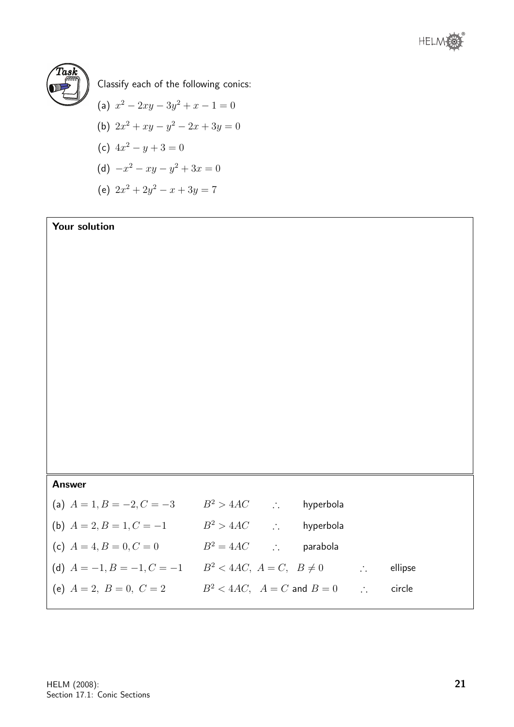



Classify each of the following conics:

(a) 
$$
x^2 - 2xy - 3y^2 + x - 1 = 0
$$

(b) 
$$
2x^2 + xy - y^2 - 2x + 3y = 0
$$

(c)  $4x^2 - y + 3 = 0$ 

(d) 
$$
-x^2 - xy - y^2 + 3x = 0
$$

(e)  $2x^2 + 2y^2 - x + 3y = 7$ 

#### Your solution

#### Answer

| (a) $A = 1, B = -2, C = -3$  | $B^2 > 4AC$<br>$\mathcal{L}_{\mathcal{L}}$             | hyperbola |                             |         |
|------------------------------|--------------------------------------------------------|-----------|-----------------------------|---------|
| (b) $A = 2, B = 1, C = -1$   | $B^2 > 4AC$                                            | hyperbola |                             |         |
| (c) $A = 4, B = 0, C = 0$    | $B^2 = 4AC$<br>$\mathcal{L}^{\text{max}}_{\text{max}}$ | parabola  |                             |         |
| (d) $A = -1, B = -1, C = -1$ | $B^2 < 4AC$ , $A = C$ , $B \neq 0$                     |           |                             | ellipse |
| (e) $A = 2, B = 0, C = 2$    | $B^2 < 4AC$ , $A = C$ and $B = 0$                      |           | $\mathcal{L}_{\mathcal{L}}$ | circle  |